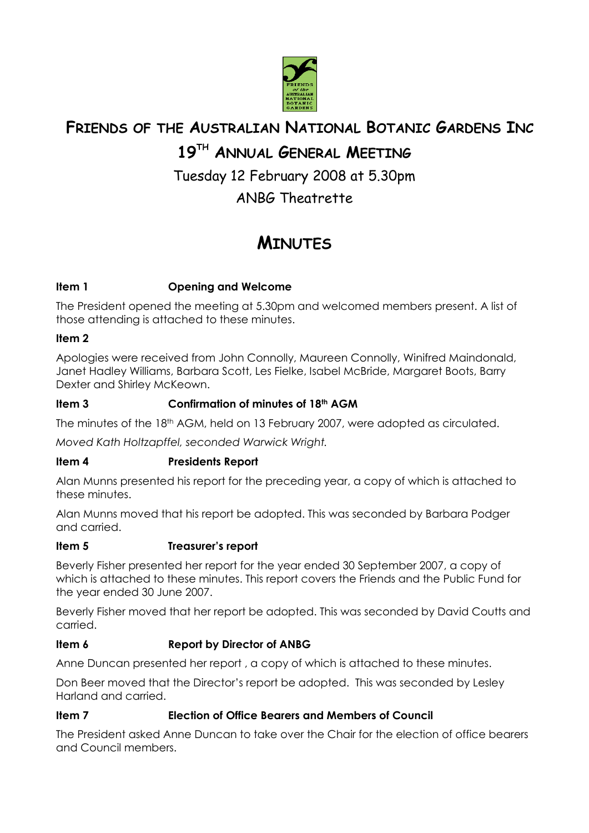

# **FRIENDS OF THE AUSTRALIAN NATIONAL BOTANIC GARDENS INC**

# **19TH ANNUAL GENERAL MEETING**

Tuesday 12 February 2008 at 5.30pm

ANBG Theatrette

# **MINUTES**

# **Item 1 Opening and Welcome**

The President opened the meeting at 5.30pm and welcomed members present. A list of those attending is attached to these minutes.

# **Item 2**

Apologies were received from John Connolly, Maureen Connolly, Winifred Maindonald, Janet Hadley Williams, Barbara Scott, Les Fielke, Isabel McBride, Margaret Boots, Barry Dexter and Shirley McKeown.

# **Item 3 Confirmation of minutes of 18th AGM**

The minutes of the 18<sup>th</sup> AGM, held on 13 February 2007, were adopted as circulated.

*Moved Kath Holtzapffel, seconded Warwick Wright.* 

# **Item 4 Presidents Report**

Alan Munns presented his report for the preceding year, a copy of which is attached to these minutes.

Alan Munns moved that his report be adopted. This was seconded by Barbara Podger and carried.

# **Item 5 Treasurer's report**

Beverly Fisher presented her report for the year ended 30 September 2007, a copy of which is attached to these minutes. This report covers the Friends and the Public Fund for the year ended 30 June 2007.

Beverly Fisher moved that her report be adopted. This was seconded by David Coutts and carried.

# **Item 6 Report by Director of ANBG**

Anne Duncan presented her report , a copy of which is attached to these minutes.

Don Beer moved that the Director's report be adopted. This was seconded by Lesley Harland and carried.

# **Item 7 Election of Office Bearers and Members of Council**

The President asked Anne Duncan to take over the Chair for the election of office bearers and Council members.